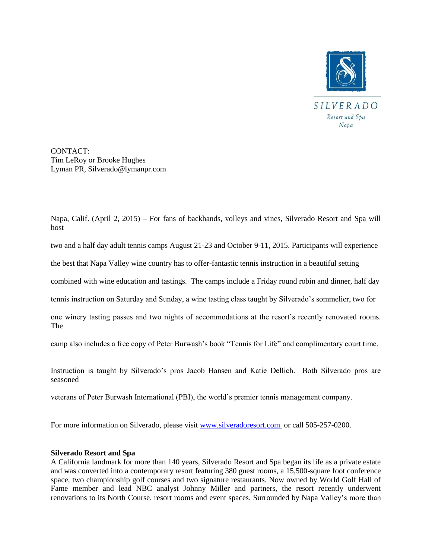

CONTACT: Tim LeRoy or Brooke Hughes Lyman PR, Silverado@lymanpr.com

Napa, Calif. (April 2, 2015) – For fans of backhands, volleys and vines, Silverado Resort and Spa will host

two and a half day adult tennis camps August 21-23 and October 9-11, 2015. Participants will experience

the best that Napa Valley wine country has to offer-fantastic tennis instruction in a beautiful setting

combined with wine education and tastings. The camps include a Friday round robin and dinner, half day

tennis instruction on Saturday and Sunday, a wine tasting class taught by Silverado's sommelier, two for

one winery tasting passes and two nights of accommodations at the resort's recently renovated rooms. The

camp also includes a free copy of Peter Burwash's book "Tennis for Life" and complimentary court time.

Instruction is taught by Silverado's pros Jacob Hansen and Katie Dellich. Both Silverado pros are seasoned

veterans of Peter Burwash International (PBI), the world's premier tennis management company.

For more information on Silverado, please visit [www.silveradoresort.com](http://www.silveradoresort.com/) or call 505-257-0200.

## **Silverado Resort and Spa**

A California landmark for more than 140 years, Silverado Resort and Spa began its life as a private estate and was converted into a contemporary resort featuring 380 guest rooms, a 15,500-square foot conference space, two championship golf courses and two signature restaurants. Now owned by World Golf Hall of Fame member and lead NBC analyst Johnny Miller and partners, the resort recently underwent renovations to its North Course, resort rooms and event spaces. Surrounded by Napa Valley's more than